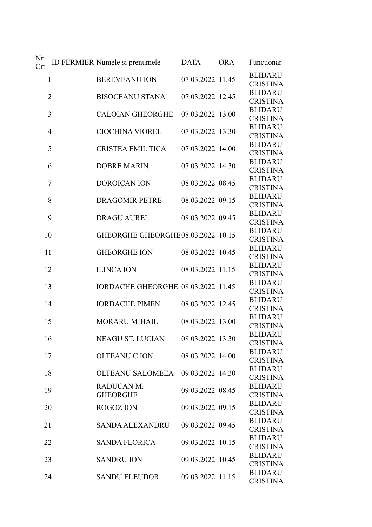| Nr.<br>Crt |                | ID FERMIER Numele si prenumele     | <b>DATA</b>      | <b>ORA</b> | Functionar                                          |
|------------|----------------|------------------------------------|------------------|------------|-----------------------------------------------------|
|            | 1              | <b>BEREVEANU ION</b>               | 07.03.2022 11.45 |            | <b>BLIDARU</b><br><b>CRISTINA</b>                   |
|            | $\overline{2}$ | <b>BISOCEANU STANA</b>             | 07.03.2022 12.45 |            | <b>BLIDARU</b><br><b>CRISTINA</b>                   |
|            | 3              | <b>CALOIAN GHEORGHE</b>            | 07.03.2022 13.00 |            | <b>BLIDARU</b><br><b>CRISTINA</b>                   |
|            | 4              | <b>CIOCHINA VIOREL</b>             | 07.03.2022 13.30 |            | <b>BLIDARU</b><br><b>CRISTINA</b>                   |
|            | 5              | <b>CRISTEA EMIL TICA</b>           | 07.03.2022 14.00 |            | <b>BLIDARU</b><br><b>CRISTINA</b>                   |
|            | 6              | <b>DOBRE MARIN</b>                 | 07.03.2022 14.30 |            | <b>BLIDARU</b><br><b>CRISTINA</b>                   |
|            | 7              | <b>DOROICAN ION</b>                | 08.03.2022 08.45 |            | <b>BLIDARU</b><br><b>CRISTINA</b>                   |
|            | 8              | <b>DRAGOMIR PETRE</b>              | 08.03.2022 09.15 |            | <b>BLIDARU</b><br><b>CRISTINA</b>                   |
|            | 9              | <b>DRAGU AUREL</b>                 | 08.03.2022 09.45 |            | <b>BLIDARU</b><br><b>CRISTINA</b>                   |
| 10         |                | GHEORGHE GHEORGHE08.03.2022 10.15  |                  |            | <b>BLIDARU</b><br><b>CRISTINA</b>                   |
| 11         |                | <b>GHEORGHE ION</b>                | 08.03.2022 10.45 |            | <b>BLIDARU</b><br><b>CRISTINA</b><br><b>BLIDARU</b> |
| 12         |                | <b>ILINCA ION</b>                  | 08.03.2022 11.15 |            | <b>CRISTINA</b><br><b>BLIDARU</b>                   |
| 13         |                | IORDACHE GHEORGHE 08.03.2022 11.45 |                  |            | <b>CRISTINA</b><br><b>BLIDARU</b>                   |
| 14         |                | <b>IORDACHE PIMEN</b>              | 08.03.2022 12.45 |            | <b>CRISTINA</b><br><b>BLIDARU</b>                   |
| 15         |                | <b>MORARU MIHAIL</b>               | 08.03.2022 13.00 |            | <b>CRISTINA</b><br>BLIDARU                          |
| 16         |                | <b>NEAGU ST. LUCIAN</b>            | 08.03.2022 13.30 |            | <b>CRISTINA</b><br><b>BLIDARU</b>                   |
| 17         |                | <b>OLTEANU C ION</b>               | 08.03.2022 14.00 |            | <b>CRISTINA</b><br><b>BLIDARU</b>                   |
| 18         |                | OLTEANU SALOMEEA<br>RADUCAN M.     | 09.03.2022 14.30 |            | <b>CRISTINA</b><br><b>BLIDARU</b>                   |
| 19         |                | <b>GHEORGHE</b>                    | 09.03.2022 08.45 |            | <b>CRISTINA</b><br><b>BLIDARU</b>                   |
| 20         |                | <b>ROGOZION</b>                    | 09.03.2022 09.15 |            | <b>CRISTINA</b><br><b>BLIDARU</b>                   |
| 21         |                | SANDA ALEXANDRU                    | 09.03.2022 09.45 |            | <b>CRISTINA</b><br><b>BLIDARU</b>                   |
| 22         |                | <b>SANDA FLORICA</b>               | 09.03.2022 10.15 |            | <b>CRISTINA</b><br><b>BLIDARU</b>                   |
| 23         |                | <b>SANDRU ION</b>                  | 09.03.2022 10.45 |            | <b>CRISTINA</b><br><b>BLIDARU</b>                   |
| 24         |                | <b>SANDU ELEUDOR</b>               | 09.03.2022 11.15 |            | <b>CRISTINA</b>                                     |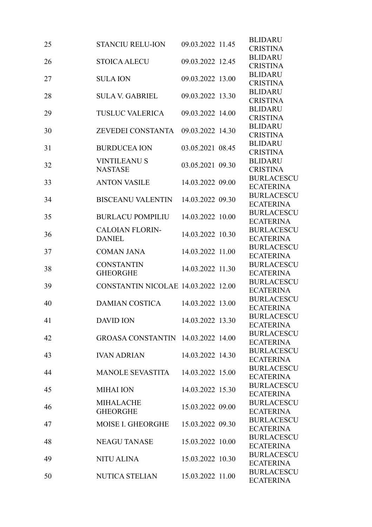| 25 | <b>STANCIU RELU-ION</b>             | 09.03.2022 11.45 | <b>BLIDARU</b><br><b>CRISTINA</b> |
|----|-------------------------------------|------------------|-----------------------------------|
| 26 | <b>STOICA ALECU</b>                 | 09.03.2022 12.45 | <b>BLIDARU</b>                    |
|    |                                     |                  | <b>CRISTINA</b>                   |
| 27 | <b>SULA ION</b>                     | 09.03.2022 13.00 | <b>BLIDARU</b>                    |
|    |                                     |                  | <b>CRISTINA</b>                   |
| 28 | <b>SULA V. GABRIEL</b>              | 09.03.2022 13.30 | <b>BLIDARU</b>                    |
|    |                                     |                  | <b>CRISTINA</b>                   |
| 29 | <b>TUSLUC VALERICA</b>              | 09.03.2022 14.00 | <b>BLIDARU</b>                    |
|    |                                     |                  | <b>CRISTINA</b>                   |
| 30 | ZEVEDEI CONSTANTA                   | 09.03.2022 14.30 | <b>BLIDARU</b>                    |
|    |                                     |                  | <b>CRISTINA</b>                   |
| 31 | <b>BURDUCEA ION</b>                 | 03.05.2021 08.45 | <b>BLIDARU</b>                    |
|    |                                     |                  | <b>CRISTINA</b>                   |
| 32 | <b>VINTILEANUS</b>                  | 03.05.2021 09.30 | <b>BLIDARU</b>                    |
|    | <b>NASTASE</b>                      |                  | <b>CRISTINA</b>                   |
| 33 | <b>ANTON VASILE</b>                 | 14.03.2022 09.00 | <b>BURLACESCU</b>                 |
|    |                                     |                  | <b>ECATERINA</b>                  |
| 34 | <b>BISCEANU VALENTIN</b>            | 14.03.2022 09.30 | <b>BURLACESCU</b>                 |
|    |                                     |                  | <b>ECATERINA</b>                  |
| 35 | <b>BURLACU POMPILIU</b>             | 14.03.2022 10.00 | <b>BURLACESCU</b>                 |
|    |                                     |                  | <b>ECATERINA</b>                  |
| 36 | <b>CALOIAN FLORIN-</b>              | 14.03.2022 10.30 | <b>BURLACESCU</b>                 |
|    | <b>DANIEL</b>                       |                  | <b>ECATERINA</b>                  |
| 37 | <b>COMAN JANA</b>                   | 14.03.2022 11.00 | <b>BURLACESCU</b>                 |
|    |                                     |                  | <b>ECATERINA</b>                  |
| 38 | <b>CONSTANTIN</b>                   | 14.03.2022 11.30 | <b>BURLACESCU</b>                 |
|    | <b>GHEORGHE</b>                     |                  | <b>ECATERINA</b>                  |
| 39 | CONSTANTIN NICOLAE 14.03.2022 12.00 |                  | <b>BURLACESCU</b>                 |
|    |                                     |                  | <b>ECATERINA</b>                  |
| 40 | <b>DAMIAN COSTICA</b>               | 14.03.2022 13.00 | <b>BURLACESCU</b>                 |
|    |                                     |                  | <b>ECATERINA</b>                  |
| 41 | <b>DAVID ION</b>                    | 14.03.2022 13.30 | <b>BURLACESCU</b>                 |
|    |                                     |                  | <b>ECATERINA</b>                  |
| 42 | GROASA CONSTANTIN 14.03.2022 14.00  |                  | <b>BURLACESCU</b>                 |
|    |                                     |                  | <b>ECATERINA</b>                  |
| 43 | <b>IVAN ADRIAN</b>                  | 14.03.2022 14.30 | <b>BURLACESCU</b>                 |
|    |                                     |                  | <b>ECATERINA</b>                  |
| 44 | MANOLE SEVASTITA 14.03.2022 15.00   |                  | <b>BURLACESCU</b>                 |
|    |                                     |                  | <b>ECATERINA</b>                  |
| 45 | <b>MIHAI ION</b>                    | 14.03.2022 15.30 | <b>BURLACESCU</b>                 |
|    |                                     |                  | <b>ECATERINA</b>                  |
| 46 | <b>MIHALACHE</b>                    | 15.03.2022 09.00 | <b>BURLACESCU</b>                 |
|    | <b>GHEORGHE</b>                     |                  | <b>ECATERINA</b>                  |
| 47 | MOISE I. GHEORGHE                   | 15.03.2022 09.30 | <b>BURLACESCU</b>                 |
|    |                                     |                  | <b>ECATERINA</b>                  |
|    | <b>NEAGU TANASE</b>                 |                  | <b>BURLACESCU</b>                 |
| 48 |                                     | 15.03.2022 10.00 | <b>ECATERINA</b>                  |
| 49 | <b>NITU ALINA</b>                   | 15.03.2022 10.30 | <b>BURLACESCU</b>                 |
|    |                                     |                  | <b>ECATERINA</b>                  |
| 50 | NUTICA STELIAN 15.03.2022 11.00     |                  | <b>BURLACESCU</b>                 |
|    |                                     |                  | <b>ECATERINA</b>                  |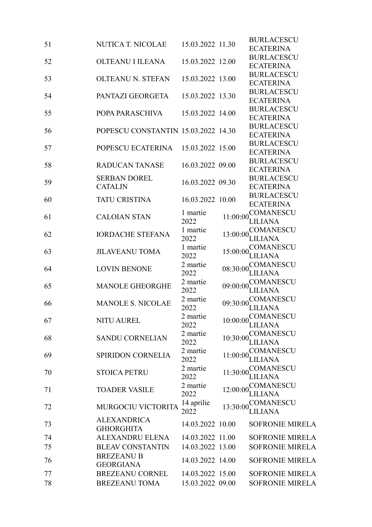| 51 | NUTICA T. NICOLAE                   | 15.03.2022 11.30 |          | <b>BURLACESCU</b>      |
|----|-------------------------------------|------------------|----------|------------------------|
|    |                                     |                  |          | <b>ECATERINA</b>       |
| 52 | OLTEANU I ILEANA                    | 15.03.2022 12.00 |          | <b>BURLACESCU</b>      |
|    |                                     |                  |          | <b>ECATERINA</b>       |
|    | <b>OLTEANU N. STEFAN</b>            | 15.03.2022 13.00 |          | <b>BURLACESCU</b>      |
| 53 |                                     |                  |          | <b>ECATERINA</b>       |
| 54 | PANTAZI GEORGETA                    | 15.03.2022 13.30 |          | <b>BURLACESCU</b>      |
|    |                                     |                  |          | <b>ECATERINA</b>       |
|    |                                     |                  |          | <b>BURLACESCU</b>      |
| 55 | POPA PARASCHIVA                     | 15.03.2022 14.00 |          | <b>ECATERINA</b>       |
|    |                                     |                  |          | <b>BURLACESCU</b>      |
| 56 | POPESCU CONSTANTIN 15.03.2022 14.30 |                  |          | <b>ECATERINA</b>       |
|    |                                     |                  |          | <b>BURLACESCU</b>      |
| 57 | POPESCU ECATERINA 15.03.2022 15.00  |                  |          | <b>ECATERINA</b>       |
|    |                                     |                  |          | <b>BURLACESCU</b>      |
| 58 | <b>RADUCAN TANASE</b>               | 16.03.2022 09.00 |          | <b>ECATERINA</b>       |
|    | <b>SERBAN DOREL</b>                 |                  |          | <b>BURLACESCU</b>      |
| 59 | <b>CATALIN</b>                      | 16.03.2022 09.30 |          | <b>ECATERINA</b>       |
|    |                                     |                  |          | <b>BURLACESCU</b>      |
| 60 | <b>TATU CRISTINA</b>                | 16.03.2022 10.00 |          | <b>ECATERINA</b>       |
|    |                                     | 1 martie         |          | <b>COMANESCU</b>       |
| 61 | <b>CALOIAN STAN</b>                 | 2022             | 11:00:00 | LILIANA                |
|    |                                     | 1 martie         |          | COMANESCU              |
| 62 | <b>IORDACHE STEFANA</b>             | 2022             | 13:00:00 | <b>LILIANA</b>         |
|    |                                     | 1 martie         |          | <b>COMANESCU</b>       |
| 63 | <b>JILAVEANU TOMA</b>               | 2022             | 15:00:00 | <b>LILIANA</b>         |
|    |                                     | 2 martie         |          | <b>COMANESCU</b>       |
| 64 | <b>LOVIN BENONE</b>                 | 2022             | 08:30:00 | LILIANA                |
|    |                                     | 2 martie         |          | COMANESCU              |
| 65 | <b>MANOLE GHEORGHE</b>              | 2022             | 09:00:00 | LILIANA                |
|    |                                     | 2 martie         |          | <b>COMANESCU</b>       |
| 66 | <b>MANOLE S. NICOLAE</b>            | 2022             | 09:30:00 | <b>LILIANA</b>         |
|    |                                     | 2 martie         |          | COMANESCU              |
| 67 | <b>NITU AUREL</b>                   | 2022             | 10:00:00 | LILIANA                |
|    |                                     | 2 martie         |          | COMANESCU              |
| 68 | <b>SANDU CORNELIAN</b>              | 2022             | 10:30:00 | <b>LILIANA</b>         |
|    |                                     | 2 martie         |          | <b>COMANESCU</b>       |
| 69 | <b>SPIRIDON CORNELIA</b>            | 2022             | 11:00:00 | LILIANA                |
|    |                                     | 2 martie         |          | <b>COMANESCU</b>       |
| 70 | <b>STOICA PETRU</b>                 | 2022             | 11:30:00 | LILIANA                |
|    |                                     | 2 martie         |          | COMANESCU              |
| 71 | <b>TOADER VASILE</b>                | 2022             | 12:00:00 | <b>LILIANA</b>         |
|    |                                     | 14 aprilie       |          | <b>COMANESCU</b>       |
| 72 | MURGOCIU VICTORITA                  | 2022             | 13:30:00 | <b>LILIANA</b>         |
|    | <b>ALEXANDRICA</b>                  |                  |          |                        |
| 73 | <b>GHIORGHITA</b>                   | 14.03.2022 10.00 |          | <b>SOFRONIE MIRELA</b> |
|    |                                     |                  |          |                        |
| 74 | ALEXANDRU ELENA                     | 14.03.2022 11.00 |          | <b>SOFRONIE MIRELA</b> |
| 75 | <b>BLEAV CONSTANTIN</b>             | 14.03.2022 13.00 |          | <b>SOFRONIE MIRELA</b> |
| 76 | <b>BREZEANU B</b>                   | 14.03.2022 14.00 |          | <b>SOFRONIE MIRELA</b> |
|    | <b>GEORGIANA</b>                    |                  |          |                        |
| 77 | <b>BREZEANU CORNEL</b>              | 14.03.2022 15.00 |          | <b>SOFRONIE MIRELA</b> |
| 78 | <b>BREZEANU TOMA</b>                | 15.03.2022 09.00 |          | <b>SOFRONIE MIRELA</b> |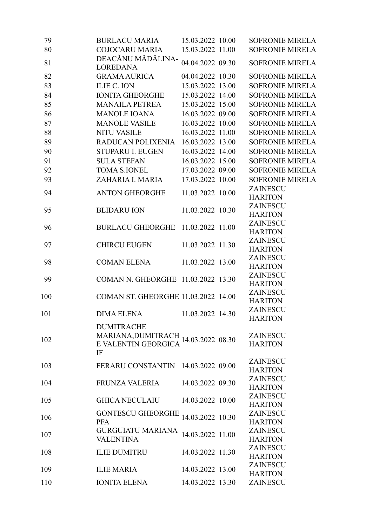| 79  | <b>BURLACU MARIA</b>                   | 15.03.2022 10.00 | <b>SOFRONIE MIRELA</b>            |
|-----|----------------------------------------|------------------|-----------------------------------|
| 80  | <b>COJOCARU MARIA</b>                  | 15.03.2022 11.00 | <b>SOFRONIE MIRELA</b>            |
| 81  | DEACĂNU MĂDĂLINA-<br><b>LOREDANA</b>   | 04.04.2022 09.30 | <b>SOFRONIE MIRELA</b>            |
| 82  | <b>GRAMA AURICA</b>                    | 04.04.2022 10.30 | <b>SOFRONIE MIRELA</b>            |
| 83  | <b>ILIE C. ION</b>                     | 15.03.2022 13.00 | <b>SOFRONIE MIRELA</b>            |
| 84  | <b>IONITA GHEORGHE</b>                 | 15.03.2022 14.00 | <b>SOFRONIE MIRELA</b>            |
| 85  | <b>MANAILA PETREA</b>                  | 15.03.2022 15.00 | <b>SOFRONIE MIRELA</b>            |
| 86  | <b>MANOLE IOANA</b>                    | 16.03.2022 09.00 | <b>SOFRONIE MIRELA</b>            |
| 87  | <b>MANOLE VASILE</b>                   | 16.03.2022 10.00 | <b>SOFRONIE MIRELA</b>            |
| 88  | <b>NITU VASILE</b>                     | 16.03.2022 11.00 | <b>SOFRONIE MIRELA</b>            |
| 89  | RADUCAN POLIXENIA                      | 16.03.2022 13.00 | <b>SOFRONIE MIRELA</b>            |
| 90  | <b>STUPARU I. EUGEN</b>                | 16.03.2022 14.00 | <b>SOFRONIE MIRELA</b>            |
| 91  | <b>SULA STEFAN</b>                     | 16.03.2022 15.00 | <b>SOFRONIE MIRELA</b>            |
| 92  | <b>TOMA S.IONEL</b>                    | 17.03.2022 09.00 | <b>SOFRONIE MIRELA</b>            |
| 93  | ZAHARIA I. MARIA                       | 17.03.2022 10.00 | <b>SOFRONIE MIRELA</b>            |
|     |                                        |                  | <b>ZAINESCU</b>                   |
| 94  | <b>ANTON GHEORGHE</b>                  | 11.03.2022 10.00 | <b>HARITON</b>                    |
|     |                                        |                  | <b>ZAINESCU</b>                   |
| 95  | <b>BLIDARU ION</b>                     | 11.03.2022 10.30 | <b>HARITON</b>                    |
|     |                                        |                  | <b>ZAINESCU</b>                   |
| 96  | <b>BURLACU GHEORGHE</b>                | 11.03.2022 11.00 | <b>HARITON</b>                    |
| 97  | <b>CHIRCU EUGEN</b>                    | 11.03.2022 11.30 | ZAINESCU                          |
|     |                                        |                  | <b>HARITON</b>                    |
| 98  | <b>COMAN ELENA</b>                     | 11.03.2022 13.00 | <b>ZAINESCU</b>                   |
|     |                                        |                  | <b>HARITON</b>                    |
| 99  | COMAN N. GHEORGHE 11.03.2022 13.30     |                  | <b>ZAINESCU</b>                   |
|     |                                        |                  | <b>HARITON</b>                    |
| 100 | COMAN ST. GHEORGHE 11.03.2022 14.00    |                  | ZAINESCU                          |
|     |                                        |                  | <b>HARITON</b><br><b>ZAINESCU</b> |
| 101 | <b>DIMA ELENA</b>                      | 11.03.2022 14.30 | <b>HARITON</b>                    |
|     | <b>DUMITRACHE</b>                      |                  |                                   |
|     | MARIANA, DUMITRACH<br>14.03.2022 08.30 |                  | <b>ZAINESCU</b>                   |
| 102 | E VALENTIN GEORGICA                    |                  | <b>HARITON</b>                    |
|     | IF                                     |                  |                                   |
|     |                                        |                  | ZAINESCU                          |
| 103 | FERARU CONSTANTIN 14.03.2022 09.00     |                  | <b>HARITON</b>                    |
| 104 | FRUNZA VALERIA                         | 14.03.2022 09.30 | <b>ZAINESCU</b>                   |
|     |                                        |                  | <b>HARITON</b>                    |
| 105 | <b>GHICA NECULAIU</b>                  | 14.03.2022 10.00 | ZAINESCU                          |
|     |                                        |                  | <b>HARITON</b>                    |
| 106 | <b>GONTESCU GHEORGHE</b>               | 14.03.2022 10.30 | <b>ZAINESCU</b>                   |
|     | <b>PFA</b>                             |                  | <b>HARITON</b>                    |
| 107 | <b>GURGUIATU MARIANA</b>               | 14.03.2022 11.00 | <b>ZAINESCU</b>                   |
|     | <b>VALENTINA</b>                       |                  | <b>HARITON</b>                    |
| 108 | <b>ILIE DUMITRU</b>                    | 14.03.2022 11.30 | <b>ZAINESCU</b><br><b>HARITON</b> |
|     |                                        |                  | ZAINESCU                          |
| 109 | <b>ILIE MARIA</b>                      | 14.03.2022 13.00 | <b>HARITON</b>                    |
| 110 | <b>IONITA ELENA</b>                    | 14.03.2022 13.30 | ZAINESCU                          |
|     |                                        |                  |                                   |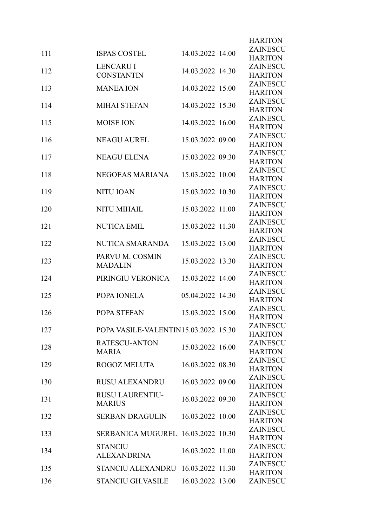|     |                                       |                  | <b>HARITON</b><br><b>ZAINESCU</b> |
|-----|---------------------------------------|------------------|-----------------------------------|
| 111 | <b>ISPAS COSTEL</b>                   | 14.03.2022 14.00 | <b>HARITON</b>                    |
| 112 | <b>LENCARU I</b><br><b>CONSTANTIN</b> | 14.03.2022 14.30 | <b>ZAINESCU</b><br><b>HARITON</b> |
| 113 | <b>MANEA ION</b>                      | 14.03.2022 15.00 | <b>ZAINESCU</b><br><b>HARITON</b> |
| 114 | <b>MIHAI STEFAN</b>                   | 14.03.2022 15.30 | ZAINESCU<br><b>HARITON</b>        |
| 115 | <b>MOISE ION</b>                      | 14.03.2022 16.00 | ZAINESCU<br><b>HARITON</b>        |
| 116 | <b>NEAGU AUREL</b>                    | 15.03.2022 09.00 | <b>ZAINESCU</b><br><b>HARITON</b> |
| 117 | <b>NEAGU ELENA</b>                    | 15.03.2022 09.30 | <b>ZAINESCU</b><br><b>HARITON</b> |
| 118 | NEGOEAS MARIANA                       | 15.03.2022 10.00 | <b>ZAINESCU</b><br><b>HARITON</b> |
| 119 | <b>NITU IOAN</b>                      | 15.03.2022 10.30 | <b>ZAINESCU</b><br><b>HARITON</b> |
| 120 | <b>NITU MIHAIL</b>                    | 15.03.2022 11.00 | <b>ZAINESCU</b><br><b>HARITON</b> |
| 121 | <b>NUTICA EMIL</b>                    | 15.03.2022 11.30 | <b>ZAINESCU</b><br><b>HARITON</b> |
| 122 | NUTICA SMARANDA                       | 15.03.2022 13.00 | <b>ZAINESCU</b><br><b>HARITON</b> |
| 123 | PARVU M. COSMIN<br><b>MADALIN</b>     | 15.03.2022 13.30 | <b>ZAINESCU</b><br><b>HARITON</b> |
| 124 | PIRINGIU VERONICA                     | 15.03.2022 14.00 | ZAINESCU<br><b>HARITON</b>        |
| 125 | POPA IONELA                           | 05.04.2022 14.30 | <b>ZAINESCU</b><br><b>HARITON</b> |
| 126 | POPA STEFAN                           | 15.03.2022 15.00 | ZAINESCU<br><b>HARITON</b>        |
| 127 | POPA VASILE-VALENTIN15.03.2022 15.30  |                  | <b>ZAINESCU</b><br><b>HARITON</b> |
| 128 | RATESCU-ANTON<br><b>MARIA</b>         | 15.03.2022 16.00 | <b>ZAINESCU</b><br><b>HARITON</b> |
| 129 | <b>ROGOZ MELUTA</b>                   | 16.03.2022 08.30 | <b>ZAINESCU</b><br><b>HARITON</b> |
| 130 | <b>RUSU ALEXANDRU</b>                 | 16.03.2022 09.00 | <b>ZAINESCU</b><br><b>HARITON</b> |
| 131 | RUSU LAURENTIU-<br><b>MARIUS</b>      | 16.03.2022 09.30 | <b>ZAINESCU</b><br><b>HARITON</b> |
| 132 | SERBAN DRAGULIN                       | 16.03.2022 10.00 | <b>ZAINESCU</b><br><b>HARITON</b> |
| 133 | SERBANICA MUGUREL 16.03.2022 10.30    |                  | ZAINESCU<br><b>HARITON</b>        |
| 134 | <b>STANCIU</b><br><b>ALEXANDRINA</b>  | 16.03.2022 11.00 | <b>ZAINESCU</b><br><b>HARITON</b> |
| 135 | STANCIU ALEXANDRU 16.03.2022 11.30    |                  | <b>ZAINESCU</b><br><b>HARITON</b> |
| 136 | STANCIU GH.VASILE                     | 16.03.2022 13.00 | <b>ZAINESCU</b>                   |